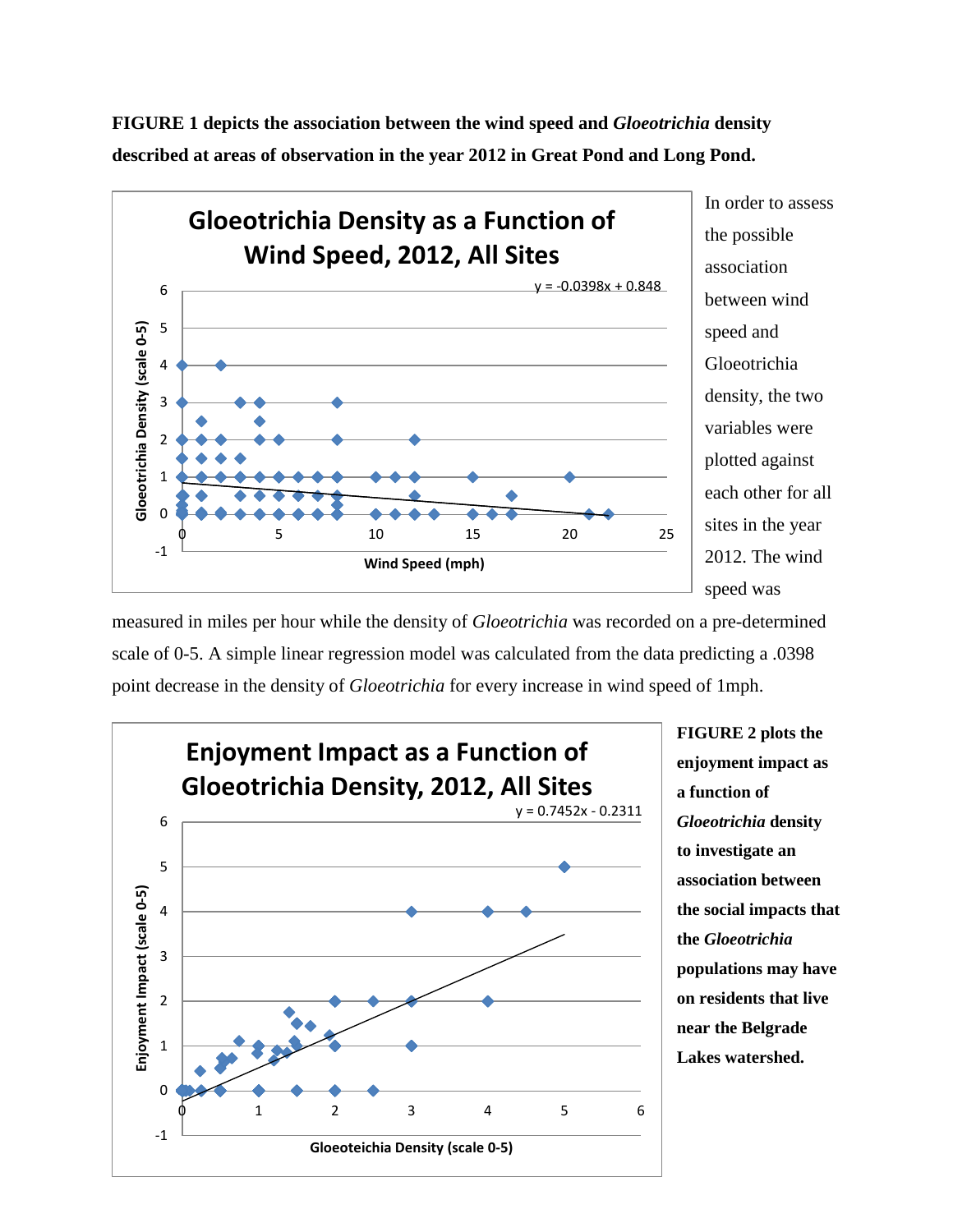In order to assess **Gloeotrichia Density as a Function of**  the possible **Wind Speed, 2012, All Sites** association  $y = -0.0398x + 0.848$ 6 between wind **Gloeotrichia Density (scale 0-5)** 5 **Gloeotrichia Density (scale 0-5)** speed and Gloeotrichia 4 density, the two 3 variables were 2 plotted against 1 each other for all 0 sites in the year 0 5 10 15 20 25 -1 2012. The wind **Wind Speed (mph)** speed was

**FIGURE 1 depicts the association between the wind speed and** *Gloeotrichia* **density described at areas of observation in the year 2012 in Great Pond and Long Pond.**

measured in miles per hour while the density of *Gloeotrichia* was recorded on a pre-determined scale of 0-5. A simple linear regression model was calculated from the data predicting a .0398 point decrease in the density of *Gloeotrichia* for every increase in wind speed of 1mph.



**FIGURE 2 plots the enjoyment impact as a function of**  *Gloeotrichia* **density to investigate an association between the social impacts that the** *Gloeotrichia*  **populations may have on residents that live near the Belgrade Lakes watershed.**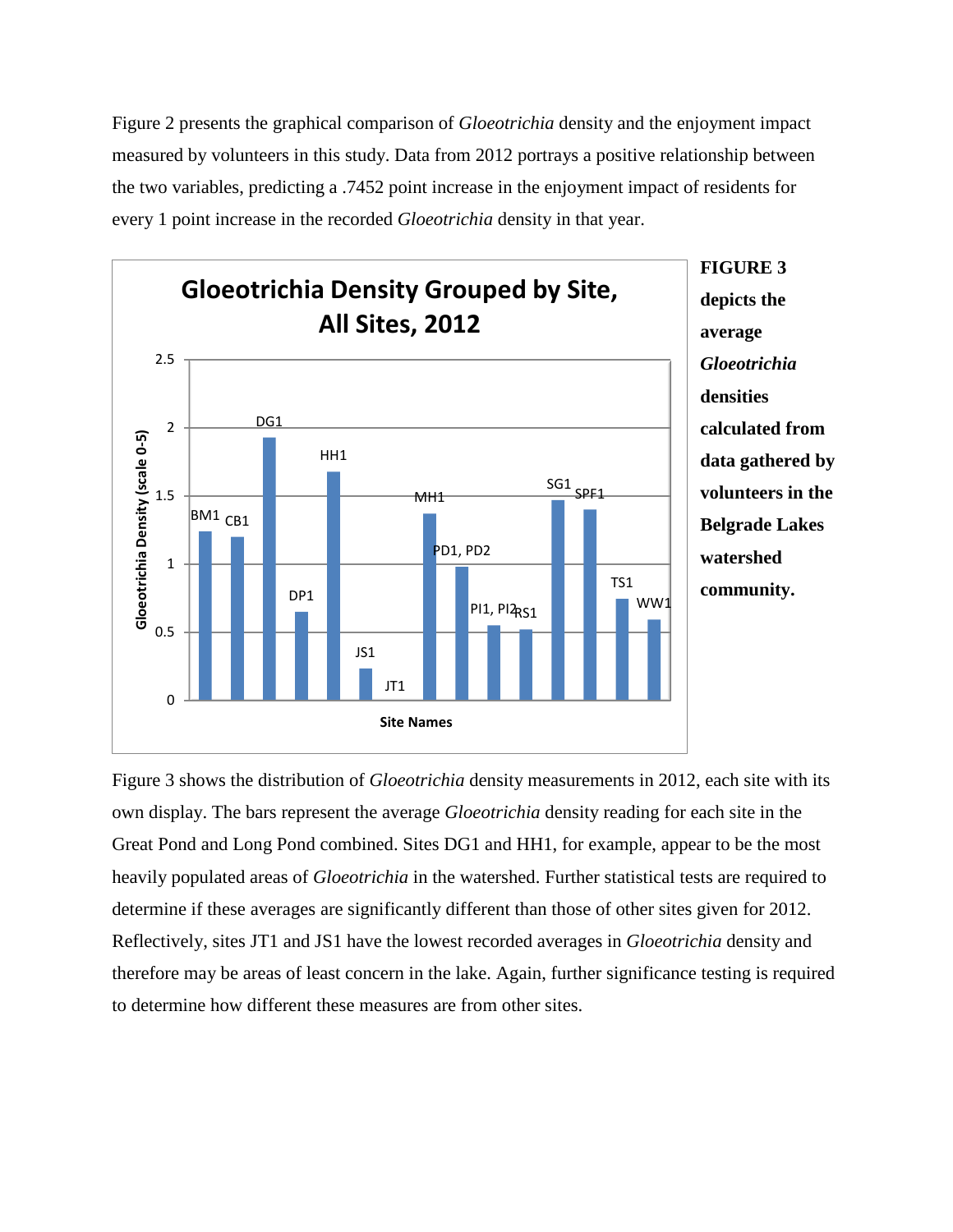Figure 2 presents the graphical comparison of *Gloeotrichia* density and the enjoyment impact measured by volunteers in this study. Data from 2012 portrays a positive relationship between the two variables, predicting a .7452 point increase in the enjoyment impact of residents for every 1 point increase in the recorded *Gloeotrichia* density in that year.



**FIGURE 3 depicts the average**  *Gloeotrichia*  **densities calculated from data gathered by volunteers in the Belgrade Lakes watershed community.** 

Figure 3 shows the distribution of *Gloeotrichia* density measurements in 2012, each site with its own display. The bars represent the average *Gloeotrichia* density reading for each site in the Great Pond and Long Pond combined. Sites DG1 and HH1, for example, appear to be the most heavily populated areas of *Gloeotrichia* in the watershed. Further statistical tests are required to determine if these averages are significantly different than those of other sites given for 2012. Reflectively, sites JT1 and JS1 have the lowest recorded averages in *Gloeotrichia* density and therefore may be areas of least concern in the lake. Again, further significance testing is required to determine how different these measures are from other sites.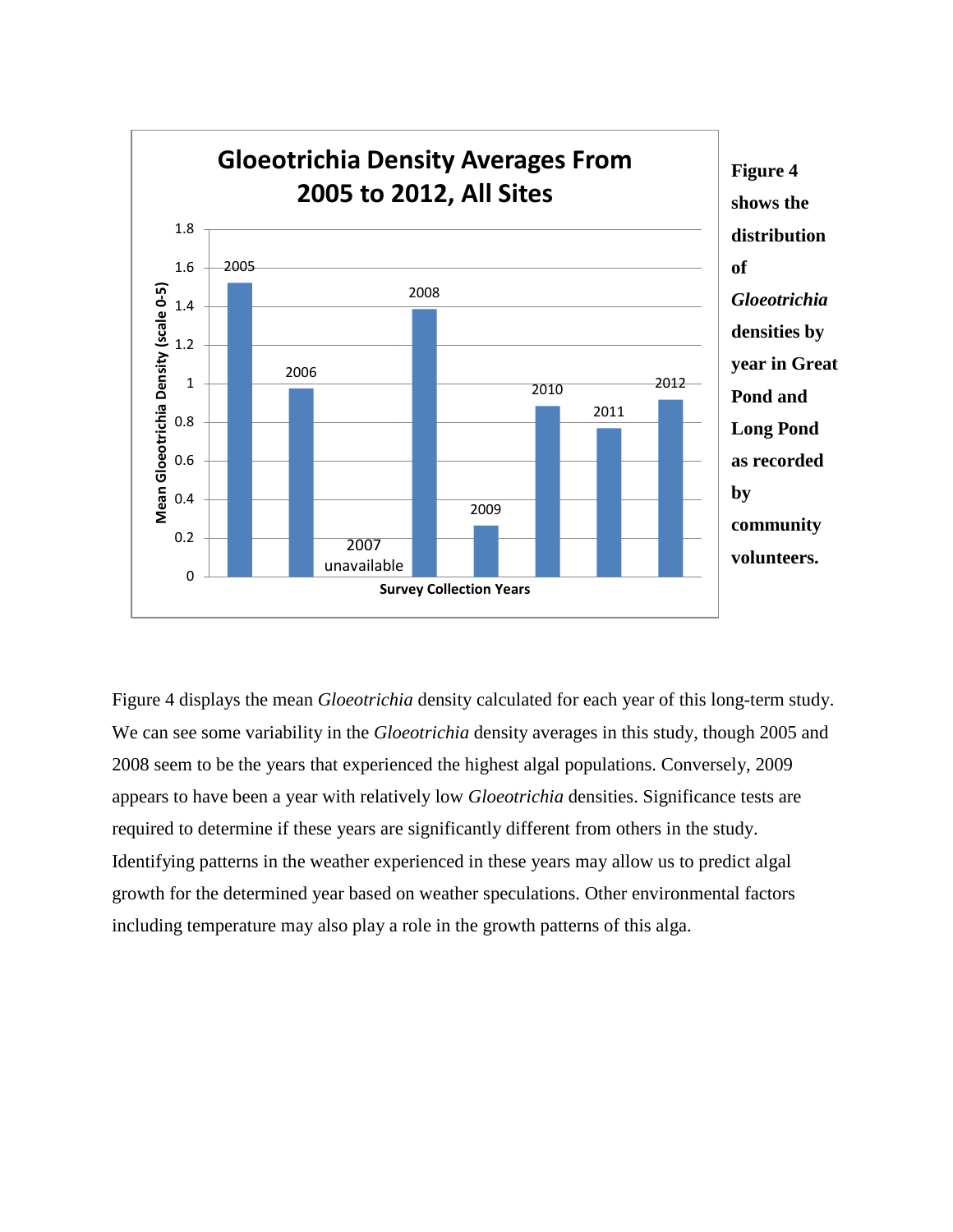

Figure 4 displays the mean *Gloeotrichia* density calculated for each year of this long-term study. We can see some variability in the *Gloeotrichia* density averages in this study, though 2005 and 2008 seem to be the years that experienced the highest algal populations. Conversely, 2009 appears to have been a year with relatively low *Gloeotrichia* densities. Significance tests are required to determine if these years are significantly different from others in the study. Identifying patterns in the weather experienced in these years may allow us to predict algal growth for the determined year based on weather speculations. Other environmental factors including temperature may also play a role in the growth patterns of this alga.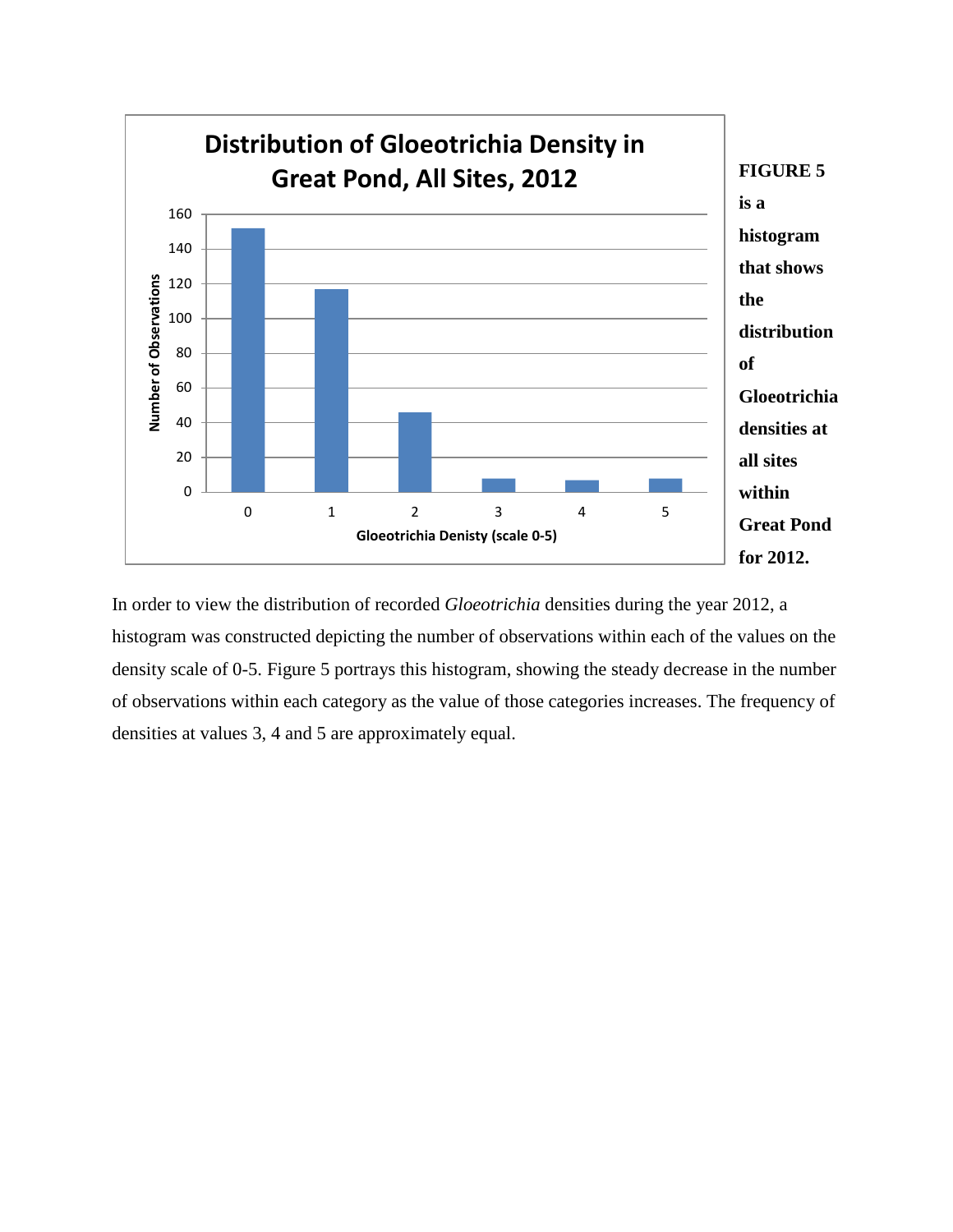

In order to view the distribution of recorded *Gloeotrichia* densities during the year 2012, a histogram was constructed depicting the number of observations within each of the values on the density scale of 0-5. Figure 5 portrays this histogram, showing the steady decrease in the number of observations within each category as the value of those categories increases. The frequency of densities at values 3, 4 and 5 are approximately equal.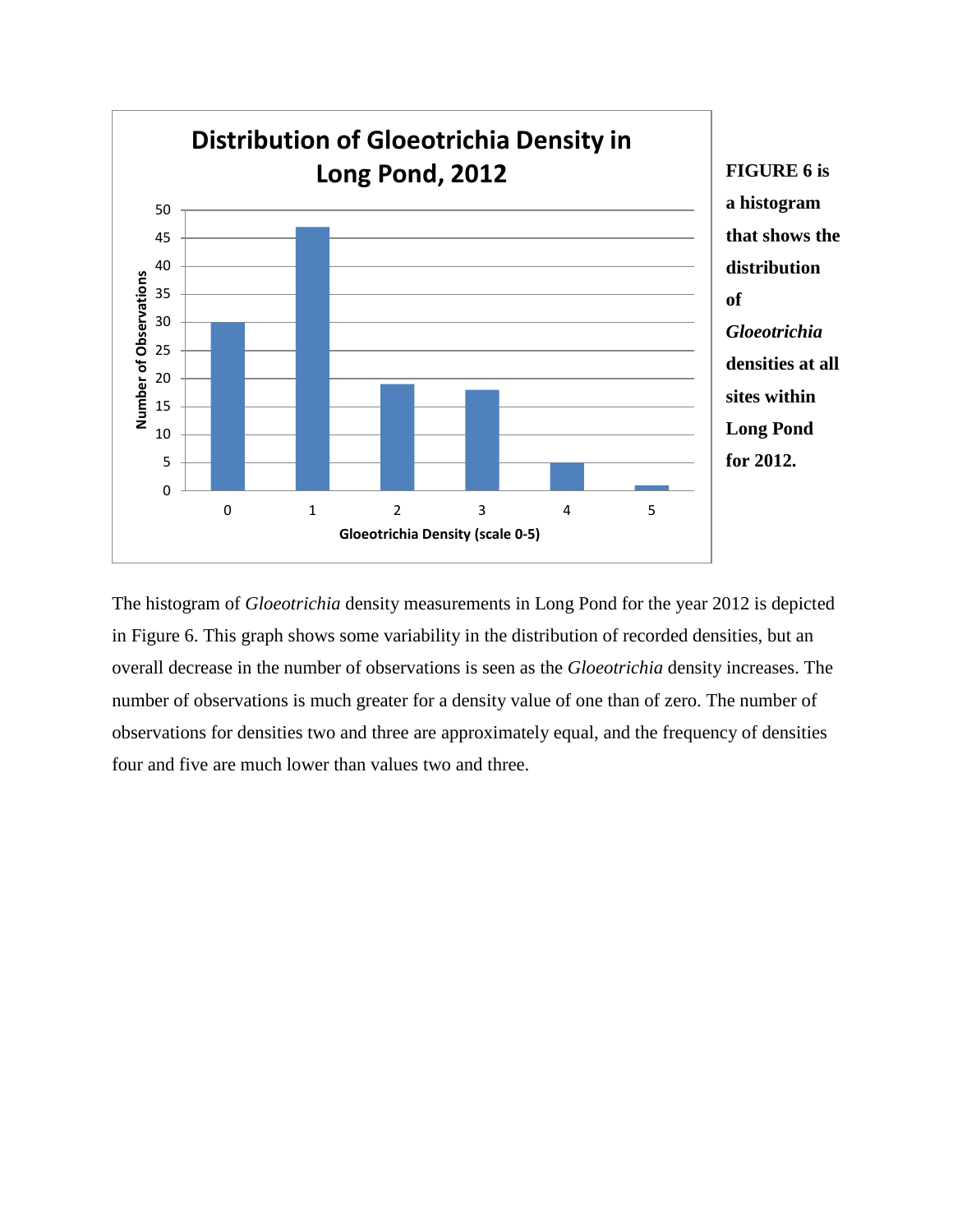

The histogram of *Gloeotrichia* density measurements in Long Pond for the year 2012 is depicted in Figure 6. This graph shows some variability in the distribution of recorded densities, but an overall decrease in the number of observations is seen as the *Gloeotrichia* density increases. The number of observations is much greater for a density value of one than of zero. The number of observations for densities two and three are approximately equal, and the frequency of densities four and five are much lower than values two and three.